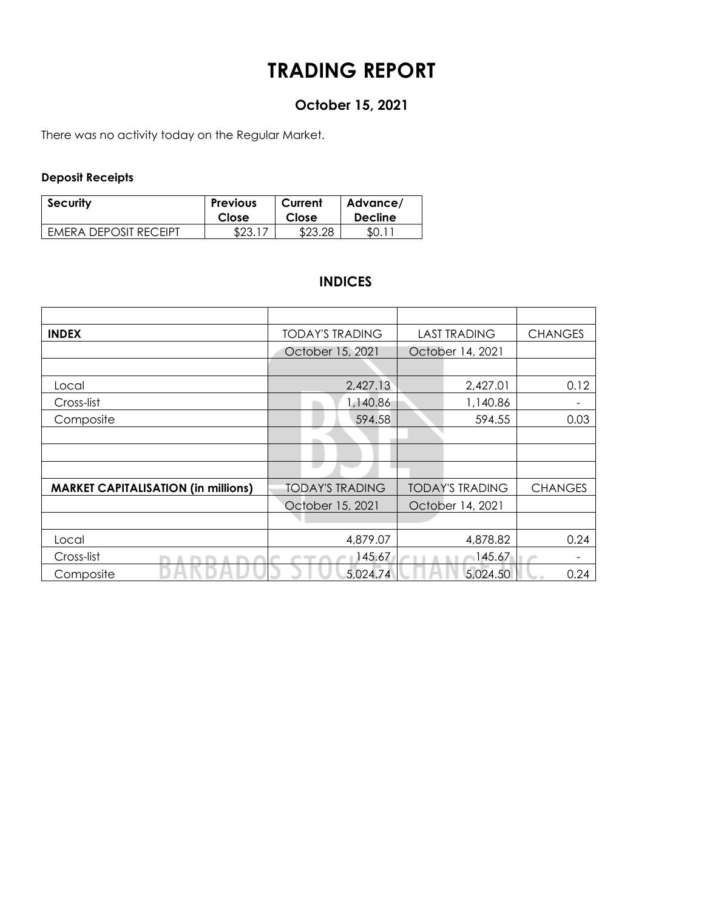## **TRADING REPORT**

## **October 15, 2021**

There was no activity today on the Regular Market.

#### **Deposit Receipts**

| <b>Security</b>              | <b>Previous</b> | Current | Advance/       |
|------------------------------|-----------------|---------|----------------|
|                              | Close           | Close   | <b>Decline</b> |
| <b>EMERA DEPOSIT RECEIPT</b> | \$23.           | \$23.28 | SO. 1          |

### **INDICES**

| <b>INDEX</b>                               | <b>TODAY'S TRADING</b> | <b>LAST TRADING</b>    | <b>CHANGES</b> |
|--------------------------------------------|------------------------|------------------------|----------------|
|                                            | October 15, 2021       | October 14, 2021       |                |
|                                            |                        |                        |                |
| Local                                      | 2,427.13               | 2,427.01               | 0.12           |
| Cross-list                                 | 1,140.86               | 1,140.86               |                |
| Composite                                  | 594.58                 | 594.55                 | 0.03           |
|                                            |                        |                        |                |
|                                            |                        |                        |                |
|                                            |                        |                        |                |
| <b>MARKET CAPITALISATION (in millions)</b> | <b>TODAY'S TRADING</b> | <b>TODAY'S TRADING</b> | <b>CHANGES</b> |
|                                            | October 15, 2021       | October 14, 2021       |                |
|                                            |                        |                        |                |
| Local                                      | 4,879.07               | 4,878.82               | 0.24           |
| Cross-list                                 | 145.67                 | 145.67                 |                |
| Composite                                  | 5,024.74               | 5,024.50               | 0.24           |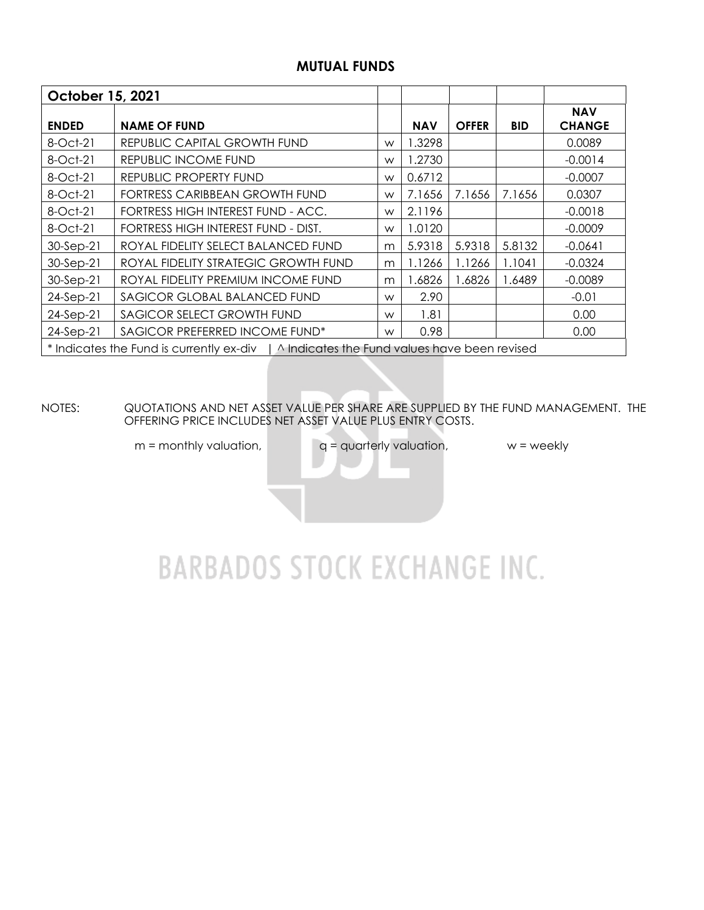### **MUTUAL FUNDS**

| October 15, 2021 |                                                                                          |   |            |              |            |                             |  |  |  |  |
|------------------|------------------------------------------------------------------------------------------|---|------------|--------------|------------|-----------------------------|--|--|--|--|
| <b>ENDED</b>     | <b>NAME OF FUND</b>                                                                      |   | <b>NAV</b> | <b>OFFER</b> | <b>BID</b> | <b>NAV</b><br><b>CHANGE</b> |  |  |  |  |
| 8-Oct-21         | REPUBLIC CAPITAL GROWTH FUND                                                             | W | .3298      |              |            | 0.0089                      |  |  |  |  |
| 8-Oct-21         | REPUBLIC INCOME FUND                                                                     | W | 1.2730     |              |            | $-0.0014$                   |  |  |  |  |
| 8-Oct-21         | REPUBLIC PROPERTY FUND                                                                   | W | 0.6712     |              |            | $-0.0007$                   |  |  |  |  |
| 8-Oct-21         | FORTRESS CARIBBEAN GROWTH FUND                                                           | W | 7.1656     | 7.1656       | 7.1656     | 0.0307                      |  |  |  |  |
| 8-Oct-21         | FORTRESS HIGH INTEREST FUND - ACC.                                                       | W | 2.1196     |              |            | $-0.0018$                   |  |  |  |  |
| 8-Oct-21         | FORTRESS HIGH INTEREST FUND - DIST.                                                      | W | 1.0120     |              |            | $-0.0009$                   |  |  |  |  |
| 30-Sep-21        | ROYAL FIDELITY SELECT BALANCED FUND                                                      | m | 5.9318     | 5.9318       | 5.8132     | $-0.0641$                   |  |  |  |  |
| 30-Sep-21        | ROYAL FIDELITY STRATEGIC GROWTH FUND                                                     | m | 1.1266     | 1.1266       | 1.1041     | $-0.0324$                   |  |  |  |  |
| 30-Sep-21        | ROYAL FIDELITY PREMIUM INCOME FUND                                                       | m | .6826      | .6826        | 1.6489     | $-0.0089$                   |  |  |  |  |
| $24-Sep-21$      | SAGICOR GLOBAL BALANCED FUND                                                             | W | 2.90       |              |            | $-0.01$                     |  |  |  |  |
| 24-Sep-21        | SAGICOR SELECT GROWTH FUND                                                               | W | 1.81       |              |            | 0.00                        |  |  |  |  |
| $24-Sep-21$      | SAGICOR PREFERRED INCOME FUND*                                                           | W | 0.98       |              |            | 0.00                        |  |  |  |  |
|                  | * Indicates the Fund is currently ex-div   ^ Indicates the Fund values have been revised |   |            |              |            |                             |  |  |  |  |

NOTES: QUOTATIONS AND NET ASSET VALUE PER SHARE ARE SUPPLIED BY THE FUND MANAGEMENT. THE OFFERING PRICE INCLUDES NET ASSET VALUE PLUS ENTRY COSTS.

 $m =$  monthly valuation,  $q =$  quarterly valuation,  $w =$  weekly

# **BARBADOS STOCK EXCHANGE INC.**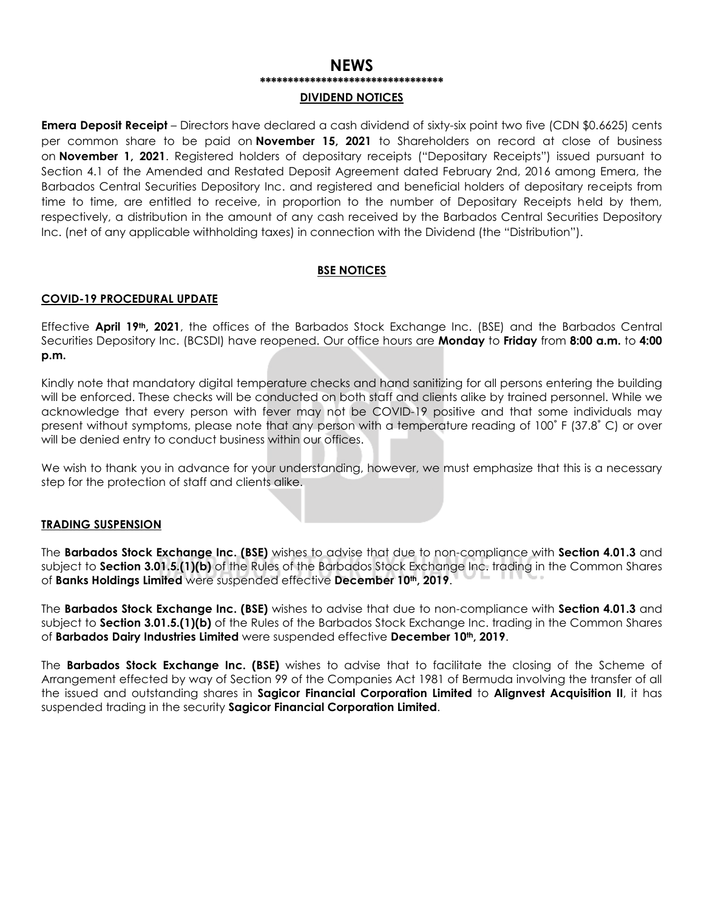#### **NEWS \*\*\*\*\*\*\*\*\*\*\*\*\*\*\*\*\*\*\*\*\*\*\*\*\*\*\*\*\*\*\*\*\***

#### **DIVIDEND NOTICES**

**Emera Deposit Receipt** – Directors have declared a cash dividend of sixty-six point two five (CDN \$0.6625) cents per common share to be paid on **November 15, 2021** to Shareholders on record at close of business on **November 1, 2021**. Registered holders of depositary receipts ("Depositary Receipts") issued pursuant to Section 4.1 of the Amended and Restated Deposit Agreement dated February 2nd, 2016 among Emera, the Barbados Central Securities Depository Inc. and registered and beneficial holders of depositary receipts from time to time, are entitled to receive, in proportion to the number of Depositary Receipts held by them, respectively, a distribution in the amount of any cash received by the Barbados Central Securities Depository Inc. (net of any applicable withholding taxes) in connection with the Dividend (the "Distribution").

#### **BSE NOTICES**

#### **COVID-19 PROCEDURAL UPDATE**

Effective **April 19th, 2021**, the offices of the Barbados Stock Exchange Inc. (BSE) and the Barbados Central Securities Depository Inc. (BCSDI) have reopened. Our office hours are **Monday** to **Friday** from **8:00 a.m.** to **4:00 p.m.**

Kindly note that mandatory digital temperature checks and hand sanitizing for all persons entering the building will be enforced. These checks will be conducted on both staff and clients alike by trained personnel. While we acknowledge that every person with fever may not be COVID-19 positive and that some individuals may present without symptoms, please note that any person with a temperature reading of 100˚ F (37.8˚ C) or over will be denied entry to conduct business within our offices.

We wish to thank you in advance for your understanding, however, we must emphasize that this is a necessary step for the protection of staff and clients alike.

#### **TRADING SUSPENSION**

The **Barbados Stock Exchange Inc. (BSE)** wishes to advise that due to non-compliance with **Section 4.01.3** and subject to **Section 3.01.5.(1)(b)** of the Rules of the Barbados Stock Exchange Inc. trading in the Common Shares of **Banks Holdings Limited** were suspended effective **December 10th, 2019**.

The **Barbados Stock Exchange Inc. (BSE)** wishes to advise that due to non-compliance with **Section 4.01.3** and subject to **Section 3.01.5.(1)(b)** of the Rules of the Barbados Stock Exchange Inc. trading in the Common Shares of **Barbados Dairy Industries Limited** were suspended effective **December 10th, 2019**.

The **Barbados Stock Exchange Inc. (BSE)** wishes to advise that to facilitate the closing of the Scheme of Arrangement effected by way of Section 99 of the Companies Act 1981 of Bermuda involving the transfer of all the issued and outstanding shares in **Sagicor Financial Corporation Limited** to **Alignvest Acquisition II**, it has suspended trading in the security **Sagicor Financial Corporation Limited**.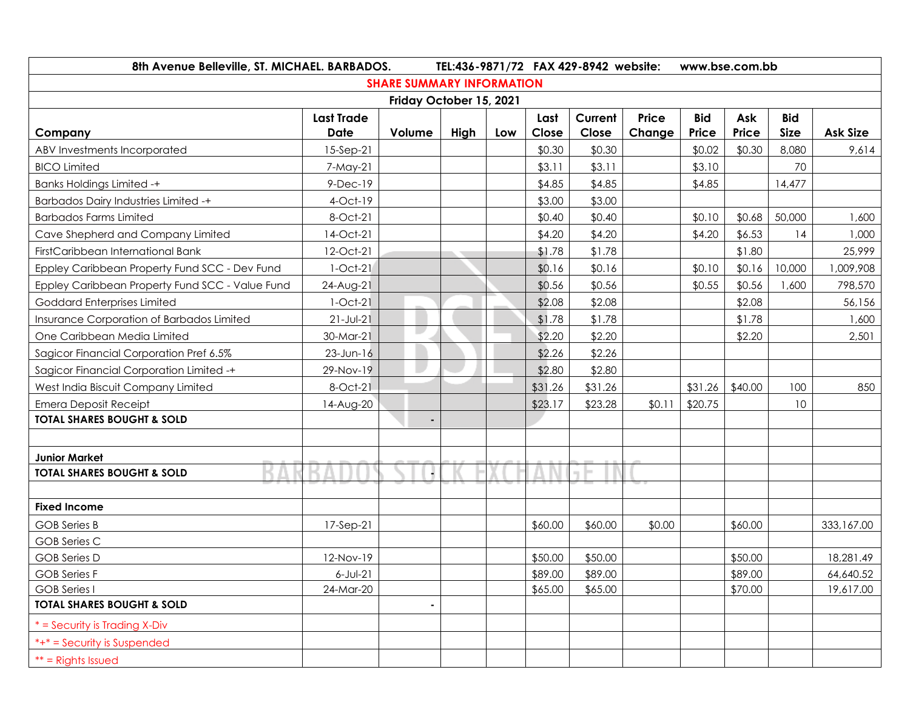| 8th Avenue Belleville, ST. MICHAEL. BARBADOS.<br>TEL:436-9871/72 FAX 429-8942 website: |                   |                                  |      |     |         | www.bse.com.bb |              |            |         |             |            |
|----------------------------------------------------------------------------------------|-------------------|----------------------------------|------|-----|---------|----------------|--------------|------------|---------|-------------|------------|
|                                                                                        |                   | <b>SHARE SUMMARY INFORMATION</b> |      |     |         |                |              |            |         |             |            |
|                                                                                        |                   | Friday October 15, 2021          |      |     |         |                |              |            |         |             |            |
|                                                                                        | <b>Last Trade</b> |                                  |      |     | Last    | Current        | <b>Price</b> | <b>Bid</b> | Ask     | <b>Bid</b>  |            |
| Company                                                                                | Date              | Volume                           | High | Low | Close   | Close          | Change       | Price      | Price   | <b>Size</b> | Ask Size   |
| ABV Investments Incorporated                                                           | 15-Sep-21         |                                  |      |     | \$0.30  | \$0.30         |              | \$0.02     | \$0.30  | 8,080       | 9,614      |
| <b>BICO Limited</b>                                                                    | 7-May-21          |                                  |      |     | \$3.11  | \$3.11         |              | \$3.10     |         | 70          |            |
| <b>Banks Holdings Limited -+</b>                                                       | $9-Dec-19$        |                                  |      |     | \$4.85  | \$4.85         |              | \$4.85     |         | 14,477      |            |
| <b>Barbados Dairy Industries Limited -+</b>                                            | $4$ -Oct-19       |                                  |      |     | \$3.00  | \$3.00         |              |            |         |             |            |
| <b>Barbados Farms Limited</b>                                                          | 8-Oct-21          |                                  |      |     | \$0.40  | \$0.40         |              | \$0.10     | \$0.68  | 50,000      | 1,600      |
| Cave Shepherd and Company Limited                                                      | 14-Oct-21         |                                  |      |     | \$4.20  | \$4.20         |              | \$4.20     | \$6.53  | 14          | 1,000      |
| FirstCaribbean International Bank                                                      | 12-Oct-21         |                                  |      |     | \$1.78  | \$1.78         |              |            | \$1.80  |             | 25,999     |
| Eppley Caribbean Property Fund SCC - Dev Fund                                          | $1-Oct-21$        |                                  |      |     | \$0.16  | \$0.16         |              | \$0.10     | \$0.16  | 10,000      | 1,009,908  |
| Eppley Caribbean Property Fund SCC - Value Fund                                        | 24-Aug-21         |                                  |      |     | \$0.56  | \$0.56         |              | \$0.55     | \$0.56  | 1,600       | 798,570    |
| Goddard Enterprises Limited                                                            | $1-Oct-21$        |                                  |      |     | \$2.08  | \$2.08         |              |            | \$2.08  |             | 56,156     |
| Insurance Corporation of Barbados Limited                                              | $21 - Jul - 21$   |                                  |      |     | \$1.78  | \$1.78         |              |            | \$1.78  |             | 1,600      |
| One Caribbean Media Limited                                                            | 30-Mar-21         | ш                                |      |     | \$2.20  | \$2.20         |              |            | \$2.20  |             | 2,501      |
| Sagicor Financial Corporation Pref 6.5%                                                | $23$ -Jun-16      |                                  |      |     | \$2.26  | \$2.26         |              |            |         |             |            |
| Sagicor Financial Corporation Limited -+                                               | 29-Nov-19         |                                  |      |     | \$2.80  | \$2.80         |              |            |         |             |            |
| West India Biscuit Company Limited                                                     | 8-Oct-21          |                                  |      |     | \$31.26 | \$31.26        |              | \$31.26    | \$40.00 | 100         | 850        |
| <b>Emera Deposit Receipt</b>                                                           | 14-Aug-20         |                                  |      |     | \$23.17 | \$23.28        | \$0.11       | \$20.75    |         | 10          |            |
| <b>TOTAL SHARES BOUGHT &amp; SOLD</b>                                                  |                   |                                  |      |     |         |                |              |            |         |             |            |
|                                                                                        |                   |                                  |      |     |         |                |              |            |         |             |            |
| <b>Junior Market</b>                                                                   |                   |                                  |      |     |         |                |              |            |         |             |            |
| <b>TOTAL SHARES BOUGHT &amp; SOLD</b>                                                  |                   |                                  |      |     |         | ۰              |              |            |         |             |            |
|                                                                                        |                   |                                  |      |     |         |                |              |            |         |             |            |
| <b>Fixed Income</b>                                                                    |                   |                                  |      |     |         |                |              |            |         |             |            |
| <b>GOB</b> Series B                                                                    | 17-Sep-21         |                                  |      |     | \$60.00 | \$60.00        | \$0.00       |            | \$60.00 |             | 333,167.00 |
| <b>GOB Series C</b>                                                                    |                   |                                  |      |     |         |                |              |            |         |             |            |
| <b>GOB</b> Series D                                                                    | 12-Nov-19         |                                  |      |     | \$50.00 | \$50.00        |              |            | \$50.00 |             | 18,281.49  |
| <b>GOB</b> Series F                                                                    | $6$ -Jul-21       |                                  |      |     | \$89.00 | \$89.00        |              |            | \$89.00 |             | 64,640.52  |
| <b>GOB</b> Series I                                                                    | 24-Mar-20         |                                  |      |     | \$65.00 | \$65.00        |              |            | \$70.00 |             | 19,617.00  |
| <b>TOTAL SHARES BOUGHT &amp; SOLD</b>                                                  |                   | ٠                                |      |     |         |                |              |            |         |             |            |
| $*$ = Security is Trading X-Div                                                        |                   |                                  |      |     |         |                |              |            |         |             |            |
| $*+*$ = Security is Suspended                                                          |                   |                                  |      |     |         |                |              |            |         |             |            |
| $**$ = Rights Issued                                                                   |                   |                                  |      |     |         |                |              |            |         |             |            |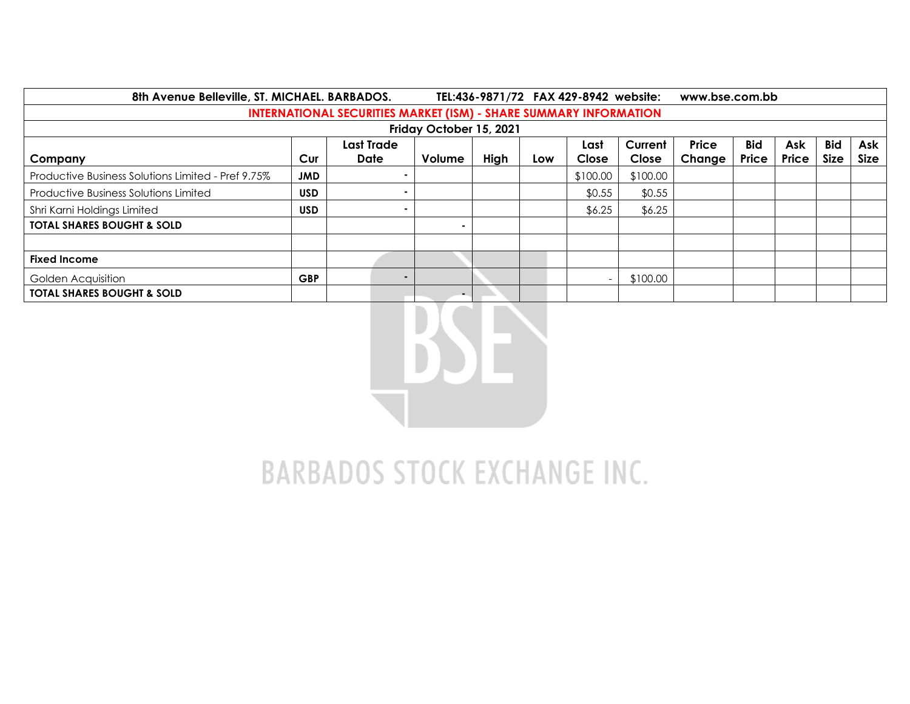| 8th Avenue Belleville, ST. MICHAEL. BARBADOS.                            |            |                   |                |      | TEL:436-9871/72 FAX 429-8942 website: |          | www.bse.com.bb |              |            |       |             |             |
|--------------------------------------------------------------------------|------------|-------------------|----------------|------|---------------------------------------|----------|----------------|--------------|------------|-------|-------------|-------------|
| <b>INTERNATIONAL SECURITIES MARKET (ISM) - SHARE SUMMARY INFORMATION</b> |            |                   |                |      |                                       |          |                |              |            |       |             |             |
| Friday October 15, 2021                                                  |            |                   |                |      |                                       |          |                |              |            |       |             |             |
|                                                                          |            | <b>Last Trade</b> |                |      |                                       | Last     | Current        | <b>Price</b> | <b>Bid</b> | Ask   | <b>Bid</b>  | Ask         |
| Company                                                                  | Cur        | <b>Date</b>       | Volume         | High | Low                                   | Close    | Close          | Change       | Price      | Price | <b>Size</b> | <b>Size</b> |
| Productive Business Solutions Limited - Pref 9.75%                       | <b>JMD</b> |                   |                |      |                                       | \$100.00 | \$100.00       |              |            |       |             |             |
| <b>Productive Business Solutions Limited</b>                             | <b>USD</b> |                   |                |      |                                       | \$0.55   | \$0.55         |              |            |       |             |             |
| Shri Karni Holdings Limited                                              | <b>USD</b> |                   |                |      |                                       | \$6.25   | \$6.25         |              |            |       |             |             |
| <b>TOTAL SHARES BOUGHT &amp; SOLD</b>                                    |            |                   |                |      |                                       |          |                |              |            |       |             |             |
|                                                                          |            |                   |                |      |                                       |          |                |              |            |       |             |             |
| <b>Fixed Income</b>                                                      |            |                   |                |      |                                       |          |                |              |            |       |             |             |
| Golden Acquisition                                                       | <b>GBP</b> | $\blacksquare$    |                |      |                                       |          | \$100.00       |              |            |       |             |             |
| <b>TOTAL SHARES BOUGHT &amp; SOLD</b>                                    |            |                   | $\blacksquare$ |      |                                       |          |                |              |            |       |             |             |



# **BARBADOS STOCK EXCHANGE INC.**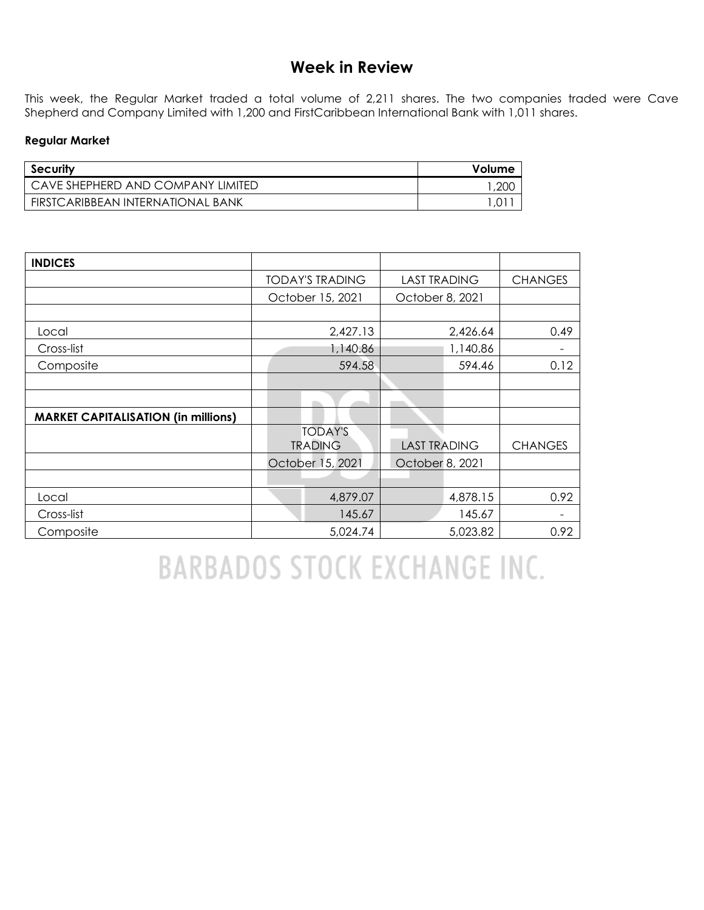## **Week in Review**

This week, the Regular Market traded a total volume of 2,211 shares. The two companies traded were Cave Shepherd and Company Limited with 1,200 and FirstCaribbean International Bank with 1,011 shares.

#### **Regular Market**

| Security                          | Volume |
|-----------------------------------|--------|
| CAVE SHEPHERD AND COMPANY LIMITED | .200   |
| FIRSTCARIBBEAN INTERNATIONAL BANK |        |

| <b>INDICES</b>                             |                  |                        |                     |          |                |
|--------------------------------------------|------------------|------------------------|---------------------|----------|----------------|
|                                            |                  | <b>TODAY'S TRADING</b> | <b>LAST TRADING</b> |          | <b>CHANGES</b> |
|                                            |                  | October 15, 2021       | October 8, 2021     |          |                |
|                                            |                  |                        |                     |          |                |
| Local                                      |                  | 2,427.13               |                     | 2,426.64 | 0.49           |
| Cross-list                                 |                  | 1,140.86               |                     | 1,140.86 | -              |
| Composite                                  |                  | 594.58                 |                     | 594.46   | 0.12           |
|                                            |                  |                        |                     |          |                |
|                                            |                  |                        |                     |          |                |
| <b>MARKET CAPITALISATION (in millions)</b> |                  |                        |                     |          |                |
|                                            |                  | <b>TODAY'S</b>         |                     |          |                |
|                                            |                  | <b>TRADING</b>         | <b>LAST TRADING</b> |          | <b>CHANGES</b> |
|                                            | October 15, 2021 |                        | October 8, 2021     |          |                |
|                                            |                  |                        |                     |          |                |
| Local                                      |                  | 4,879.07               |                     | 4,878.15 | 0.92           |
| Cross-list                                 |                  | 145.67                 |                     | 145.67   |                |
| Composite                                  |                  | 5,024.74               |                     | 5,023.82 | 0.92           |

**BARBADOS STOCK EXCHANGE INC.**